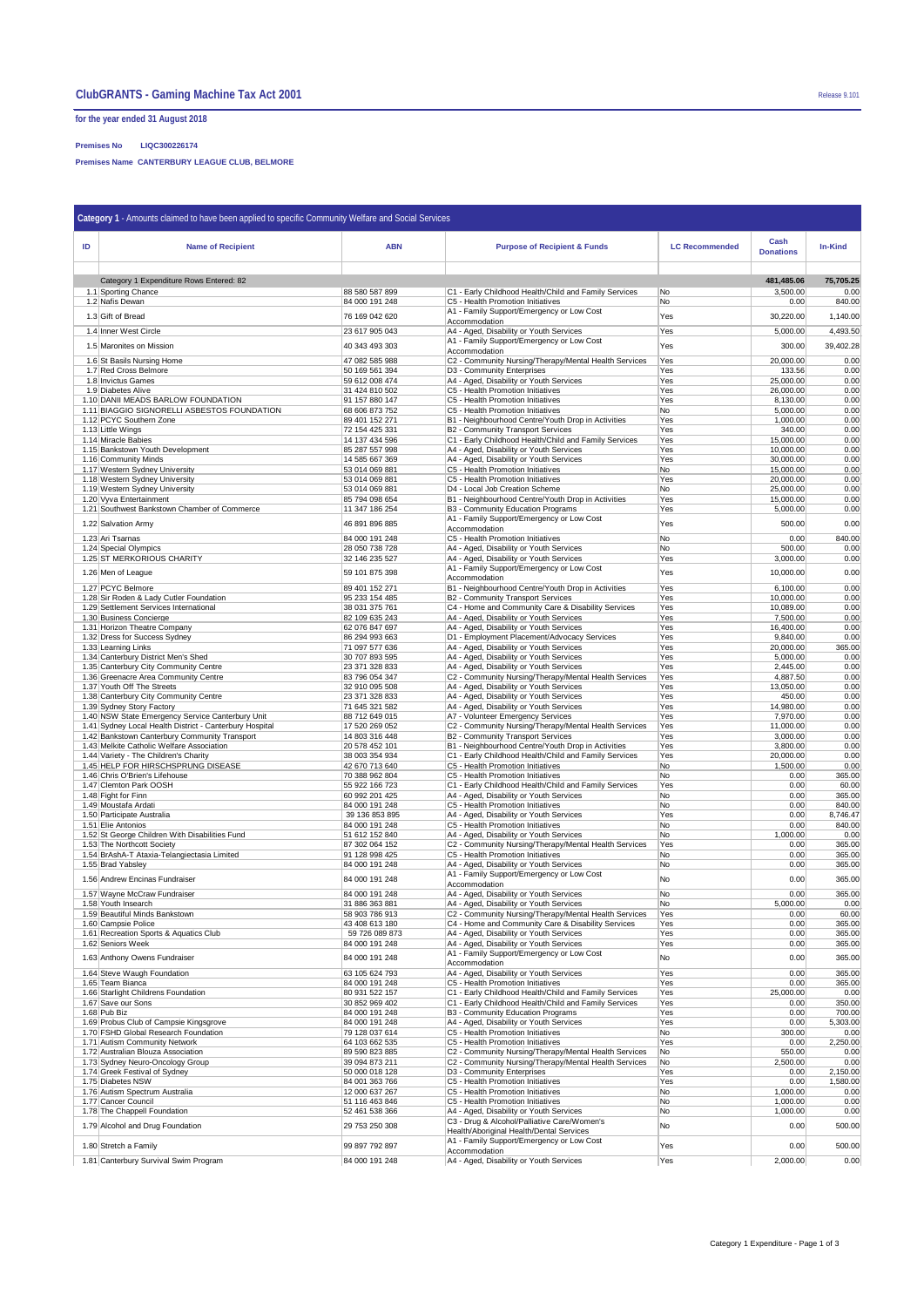## **for the year ended 31 August 2018**

### **Premises No LIQC300226174**

**Premises Name CANTERBURY LEAGUE CLUB, BELMORE**

| Category 1 - Amounts claimed to have been applied to specific Community Welfare and Social Services |                                                                                                             |                                  |                                                                                                             |                       |                          |                      |  |  |  |
|-----------------------------------------------------------------------------------------------------|-------------------------------------------------------------------------------------------------------------|----------------------------------|-------------------------------------------------------------------------------------------------------------|-----------------------|--------------------------|----------------------|--|--|--|
| ID                                                                                                  | <b>Name of Recipient</b>                                                                                    | <b>ABN</b>                       | <b>Purpose of Recipient &amp; Funds</b>                                                                     | <b>LC Recommended</b> | Cash<br><b>Donations</b> | <b>In-Kind</b>       |  |  |  |
|                                                                                                     | Category 1 Expenditure Rows Entered: 82                                                                     |                                  |                                                                                                             |                       | 481,485.06               | 75,705.25            |  |  |  |
|                                                                                                     | 1.1 Sporting Chance                                                                                         | 88 580 587 899                   | C1 - Early Childhood Health/Child and Family Services                                                       | No                    | 3,500.00                 | 0.00                 |  |  |  |
|                                                                                                     | 1.2 Nafis Dewan                                                                                             | 84 000 191 248                   | C5 - Health Promotion Initiatives<br>A1 - Family Support/Emergency or Low Cost                              | No                    | 0.00                     | 840.00               |  |  |  |
|                                                                                                     | 1.3 Gift of Bread                                                                                           | 76 169 042 620                   | Accommodation                                                                                               | Yes                   | 30,220.00                | 1,140.00             |  |  |  |
|                                                                                                     | 1.4 Inner West Circle                                                                                       | 23 617 905 043                   | A4 - Aged, Disability or Youth Services<br>A1 - Family Support/Emergency or Low Cost                        | Yes                   | 5,000.00                 | 4,493.50             |  |  |  |
|                                                                                                     | 1.5 Maronites on Mission                                                                                    | 40 343 493 303                   | Accommodation                                                                                               | Yes                   | 300.00                   | 39,402.28            |  |  |  |
|                                                                                                     | 1.6 St Basils Nursing Home<br>1.7 Red Cross Belmore                                                         | 47 082 585 988<br>50 169 561 394 | C2 - Community Nursing/Therapy/Mental Health Services<br>D3 - Community Enterprises                         | Yes<br>Yes            | 20,000.00<br>133.56      | 0.00<br>0.00         |  |  |  |
|                                                                                                     | 1.8 Invictus Games                                                                                          | 59 612 008 474                   | A4 - Aged, Disability or Youth Services                                                                     | Yes                   | 25,000.00                | 0.00                 |  |  |  |
|                                                                                                     | 1.9 Diabetes Alive<br>1.10 DANII MEADS BARLOW FOUNDATION                                                    | 31 424 810 502<br>91 157 880 147 | C5 - Health Promotion Initiatives<br>C5 - Health Promotion Initiatives                                      | Yes<br>Yes            | 26,000.00<br>8,130.00    | 0.00<br>0.00         |  |  |  |
|                                                                                                     | 1.11 BIAGGIO SIGNORELLI ASBESTOS FOUNDATION                                                                 | 68 606 873 752                   | C5 - Health Promotion Initiatives                                                                           | No                    | 5,000.00                 | 0.00                 |  |  |  |
|                                                                                                     | 1.12 PCYC Southern Zone<br>1.13 Little Wings                                                                | 89 401 152 271<br>72 154 425 331 | B1 - Neighbourhood Centre/Youth Drop in Activities<br>B2 - Community Transport Services                     | Yes<br>Yes            | 1,000.00<br>340.00       | 0.00<br>0.00         |  |  |  |
|                                                                                                     | 1.14 Miracle Babies                                                                                         | 14 137 434 596                   | C1 - Early Childhood Health/Child and Family Services                                                       | Yes                   | 15,000.00                | 0.00<br>0.00         |  |  |  |
|                                                                                                     | 1.15 Bankstown Youth Development<br>1.16 Community Minds                                                    | 85 287 557 998<br>14 585 667 369 | A4 - Aged, Disability or Youth Services<br>A4 - Aged, Disability or Youth Services                          | Yes<br>Yes            | 10,000.00<br>30,000.00   | 0.00                 |  |  |  |
|                                                                                                     | 1.17 Western Sydney University                                                                              | 53 014 069 881                   | C5 - Health Promotion Initiatives<br>C5 - Health Promotion Initiatives                                      | No                    | 15,000.00                | 0.00                 |  |  |  |
|                                                                                                     | 1.18 Western Sydney University<br>1.19 Western Sydney University                                            | 53 014 069 881<br>53 014 069 881 | D4 - Local Job Creation Scheme                                                                              | Yes<br>No             | 20,000.00<br>25,000.00   | 0.00<br>0.00         |  |  |  |
|                                                                                                     | 1.20 Vyva Entertainment                                                                                     | 85 794 098 654                   | B1 - Neighbourhood Centre/Youth Drop in Activities                                                          | Yes                   | 15,000.00                | 0.00                 |  |  |  |
|                                                                                                     | 1.21 Southwest Bankstown Chamber of Commerce                                                                | 11 347 186 254                   | B3 - Community Education Programs<br>A1 - Family Support/Emergency or Low Cost                              | Yes                   | 5,000.00                 | 0.00                 |  |  |  |
|                                                                                                     | 1.22 Salvation Army                                                                                         | 46 891 896 885                   | Accommodation                                                                                               | Yes                   | 500.00                   | 0.00                 |  |  |  |
|                                                                                                     | 1.23 Ari Tsarnas<br>1.24 Special Olympics                                                                   | 84 000 191 248<br>28 050 738 728 | C5 - Health Promotion Initiatives<br>A4 - Aged, Disability or Youth Services                                | No<br>No              | 0.00<br>500.00           | 840.00<br>0.00       |  |  |  |
|                                                                                                     | 1.25 ST MERKORIOUS CHARITY                                                                                  | 32 146 235 527                   | A4 - Aged, Disability or Youth Services                                                                     | Yes                   | 3,000.00                 | 0.00                 |  |  |  |
|                                                                                                     | 1.26 Men of League                                                                                          | 59 101 875 398                   | A1 - Family Support/Emergency or Low Cost<br>Accommodation                                                  | Yes                   | 10,000.00                | 0.00                 |  |  |  |
|                                                                                                     | 1.27 PCYC Belmore                                                                                           | 89 401 152 271                   | B1 - Neighbourhood Centre/Youth Drop in Activities                                                          | Yes                   | 6,100.00                 | 0.00                 |  |  |  |
|                                                                                                     | 1.28 Sir Roden & Lady Cutler Foundation<br>1.29 Settlement Services International                           | 95 233 154 485<br>38 031 375 761 | <b>B2</b> - Community Transport Services<br>C4 - Home and Community Care & Disability Services              | Yes<br>Yes            | 10,000.00<br>10,089.00   | 0.00<br>0.00         |  |  |  |
|                                                                                                     | 1.30 Business Concierge                                                                                     | 82 109 635 243                   | A4 - Aged, Disability or Youth Services                                                                     | Yes                   | 7,500.00                 | 0.00                 |  |  |  |
|                                                                                                     | 1.31 Horizon Theatre Company<br>1.32 Dress for Success Sydney                                               | 62 076 847 697<br>86 294 993 663 | A4 - Aged, Disability or Youth Services<br>D1 - Employment Placement/Advocacy Services                      | Yes<br>Yes            | 16,400.00<br>9,840.00    | 0.00<br>0.00         |  |  |  |
|                                                                                                     | 1.33 Learning Links                                                                                         | 71 097 577 636                   | A4 - Aged, Disability or Youth Services                                                                     | Yes                   | 20,000.00                | 365.00               |  |  |  |
|                                                                                                     | 1.34 Canterbury District Men's Shed<br>1.35 Canterbury City Community Centre                                | 30 707 893 595<br>23 371 328 833 | A4 - Aged, Disability or Youth Services<br>A4 - Aged, Disability or Youth Services                          | Yes<br>Yes            | 5,000.00<br>2,445.00     | 0.00<br>0.00         |  |  |  |
|                                                                                                     | 1.36 Greenacre Area Community Centre                                                                        | 83 796 054 347                   | C2 - Community Nursing/Therapy/Mental Health Services                                                       | Yes                   | 4,887.50                 | 0.00                 |  |  |  |
|                                                                                                     | 1.37 Youth Off The Streets<br>1.38 Canterbury City Community Centre                                         | 32 910 095 508<br>23 371 328 833 | A4 - Aged, Disability or Youth Services<br>A4 - Aged, Disability or Youth Services                          | Yes<br>Yes            | 13,050.00<br>450.00      | 0.00<br>0.00         |  |  |  |
|                                                                                                     | 1.39 Sydney Story Factory                                                                                   | 71 645 321 582                   | A4 - Aged, Disability or Youth Services                                                                     | Yes                   | 14,980.00                | 0.00                 |  |  |  |
|                                                                                                     | 1.40 NSW State Emergency Service Canterbury Unit<br>1.41 Sydney Local Health District - Canterbury Hospital | 88 712 649 015<br>17 520 269 052 | A7 - Volunteer Emergency Services<br>C2 - Community Nursing/Therapy/Mental Health Services                  | Yes<br>Yes            | 7,970.00<br>11,000.00    | 0.00<br>0.00         |  |  |  |
|                                                                                                     | 1.42 Bankstown Canterbury Community Transport                                                               | 14 803 316 448                   | <b>B2 - Community Transport Services</b>                                                                    | Yes                   | 3,000.00                 | 0.00                 |  |  |  |
|                                                                                                     | 1.43 Melkite Catholic Welfare Association<br>1.44 Variety - The Children's Charity                          | 20 578 452 101<br>38 003 354 934 | B1 - Neighbourhood Centre/Youth Drop in Activities<br>C1 - Early Childhood Health/Child and Family Services | Yes<br>Yes            | 3,800.00<br>20,000.00    | 0.00<br>0.00         |  |  |  |
|                                                                                                     | 1.45 HELP FOR HIRSCHSPRUNG DISEASE                                                                          | 42 670 713 640                   | C5 - Health Promotion Initiatives                                                                           | No                    | 1,500.00                 | 0.00                 |  |  |  |
|                                                                                                     | 1.46 Chris O'Brien's Lifehouse<br>1.47 Clemton Park OOSH                                                    | 70 388 962 804<br>55 922 166 723 | C5 - Health Promotion Initiatives<br>C1 - Early Childhood Health/Child and Family Services                  | No<br>Yes             | 0.00<br>0.00             | 365.00<br>60.00      |  |  |  |
|                                                                                                     | 1.48 Fight for Finn                                                                                         | 60 992 201 425                   | A4 - Aged, Disability or Youth Services                                                                     | No                    | 0.00                     | 365.00               |  |  |  |
|                                                                                                     | 1.49 Moustafa Ardati<br>1.50 Participate Australia                                                          | 84 000 191 248<br>39 136 853 895 | C5 - Health Promotion Initiatives<br>A4 - Aged, Disability or Youth Services                                | No<br>Yes             | 0.00<br>0.00             | 840.00<br>8,746.47   |  |  |  |
|                                                                                                     | 1.51 Elie Antonios                                                                                          | 84 000 191 248                   | C5 - Health Promotion Initiatives                                                                           | No                    | 0.00                     | 840.00               |  |  |  |
|                                                                                                     | 1.52 St George Children With Disabilities Fund<br>1.53 The Northcott Society                                | 51 612 152 840<br>87 302 064 152 | A4 - Aged, Disability or Youth Services<br>C2 - Community Nursing/Therapy/Mental Health Services            | No<br>Yes             | 1,000.00<br>0.00         | 0.00<br>365.00       |  |  |  |
|                                                                                                     | 1.54 BrAshA-T Ataxia-Telangiectasia Limited                                                                 | 91 128 998 425                   | C5 - Health Promotion Initiatives                                                                           | No                    | 0.00                     | 365.00               |  |  |  |
|                                                                                                     | 1.55 Brad Yabsley                                                                                           | 84 000 191 248                   | A4 - Aged, Disability or Youth Services<br>A1 - Family Support/Emergency or Low Cost                        | No                    | 0.00                     | 365.00               |  |  |  |
|                                                                                                     | 1.56 Andrew Encinas Fundraiser                                                                              | 84 000 191 248                   | Accommodation                                                                                               | No                    | 0.00                     | 365.00               |  |  |  |
|                                                                                                     | 1.57 Wayne McCraw Fundraiser<br>1.58 Youth Insearch                                                         | 84 000 191 248<br>31 886 363 881 | A4 - Aged, Disability or Youth Services<br>A4 - Aged, Disability or Youth Services                          | No<br>No              | 0.00<br>5,000.00         | 365.00<br>0.00       |  |  |  |
|                                                                                                     | 1.59 Beautiful Minds Bankstown                                                                              | 58 903 786 913                   | C2 - Community Nursing/Therapy/Mental Health Services                                                       | Yes                   | 0.00                     | 60.00                |  |  |  |
|                                                                                                     | 1.60 Campsie Police<br>1.61 Recreation Sports & Aquatics Club                                               | 43 408 613 180<br>59 726 089 873 | C4 - Home and Community Care & Disability Services<br>A4 - Aged, Disability or Youth Services               | Yes<br>Yes            | 0.00<br>0.00             | 365.00<br>365.00     |  |  |  |
|                                                                                                     | 1.62 Seniors Week                                                                                           | 84 000 191 248                   | A4 - Aged, Disability or Youth Services                                                                     | Yes                   | 0.00                     | 365.00               |  |  |  |
|                                                                                                     | 1.63 Anthony Owens Fundraiser                                                                               | 84 000 191 248                   | A1 - Family Support/Emergency or Low Cost<br>Accommodation                                                  | No                    | 0.00                     | 365.00               |  |  |  |
|                                                                                                     | 1.64 Steve Waugh Foundation                                                                                 | 63 105 624 793                   | A4 - Aged, Disability or Youth Services                                                                     | Yes                   | 0.00                     | 365.00               |  |  |  |
|                                                                                                     | 1.65 Team Bianca<br>1.66 Starlight Childrens Foundation                                                     | 84 000 191 248<br>80 931 522 157 | C5 - Health Promotion Initiatives<br>C1 - Early Childhood Health/Child and Family Services                  | Yes<br>Yes            | 0.00<br>25,000.00        | 365.00<br>0.00       |  |  |  |
|                                                                                                     | 1.67 Save our Sons<br>1.68 Pub Biz                                                                          | 30 852 969 402                   | C1 - Early Childhood Health/Child and Family Services                                                       | Yes                   | 0.00                     | 350.00               |  |  |  |
|                                                                                                     | 1.69 Probus Club of Campsie Kingsgrove                                                                      | 84 000 191 248<br>84 000 191 248 | B3 - Community Education Programs<br>A4 - Aged, Disability or Youth Services                                | Yes<br>Yes            | 0.00<br>0.00             | 700.00<br>5,303.00   |  |  |  |
|                                                                                                     | 1.70 FSHD Global Research Foundation                                                                        | 79 128 037 614                   | C5 - Health Promotion Initiatives                                                                           | No                    | 300.00                   | 0.00                 |  |  |  |
|                                                                                                     | 1.71 Autism Community Network<br>1.72 Australian Blouza Association                                         | 64 103 662 535<br>89 590 823 885 | C5 - Health Promotion Initiatives<br>C2 - Community Nursing/Therapy/Mental Health Services                  | Yes<br>No             | 0.00<br>550.00           | 2,250.00<br>0.00     |  |  |  |
|                                                                                                     | 1.73 Sydney Neuro-Oncology Group                                                                            | 39 094 873 211                   | C2 - Community Nursing/Therapy/Mental Health Services                                                       | No                    | 2,500.00                 | 0.00                 |  |  |  |
|                                                                                                     | 1.74 Greek Festival of Sydney<br>1.75 Diabetes NSW                                                          | 50 000 018 128<br>84 001 363 766 | D3 - Community Enterprises<br>C5 - Health Promotion Initiatives                                             | Yes<br>Yes            | 0.00<br>0.00             | 2,150.00<br>1,580.00 |  |  |  |
|                                                                                                     | 1.76 Autism Spectrum Australia                                                                              | 12 000 637 267                   | C5 - Health Promotion Initiatives                                                                           | No                    | 1,000.00                 | 0.00                 |  |  |  |
|                                                                                                     | 1.77 Cancer Council<br>1.78 The Chappell Foundation                                                         | 51 116 463 846<br>52 461 538 366 | C5 - Health Promotion Initiatives<br>A4 - Aged, Disability or Youth Services                                | No<br>No              | 1,000.00<br>1,000.00     | 0.00<br>0.00         |  |  |  |
|                                                                                                     | 1.79 Alcohol and Drug Foundation                                                                            | 29 753 250 308                   | C3 - Drug & Alcohol/Palliative Care/Women's                                                                 | No                    | 0.00                     | 500.00               |  |  |  |
|                                                                                                     | 1.80 Stretch a Family                                                                                       | 99 897 792 897                   | Health/Aboriginal Health/Dental Services<br>A1 - Family Support/Emergency or Low Cost                       | Yes                   | 0.00                     | 500.00               |  |  |  |
|                                                                                                     | 1.81 Canterbury Survival Swim Program                                                                       | 84 000 191 248                   | Accommodation<br>A4 - Aged, Disability or Youth Services                                                    | Yes                   | 2,000.00                 | 0.00                 |  |  |  |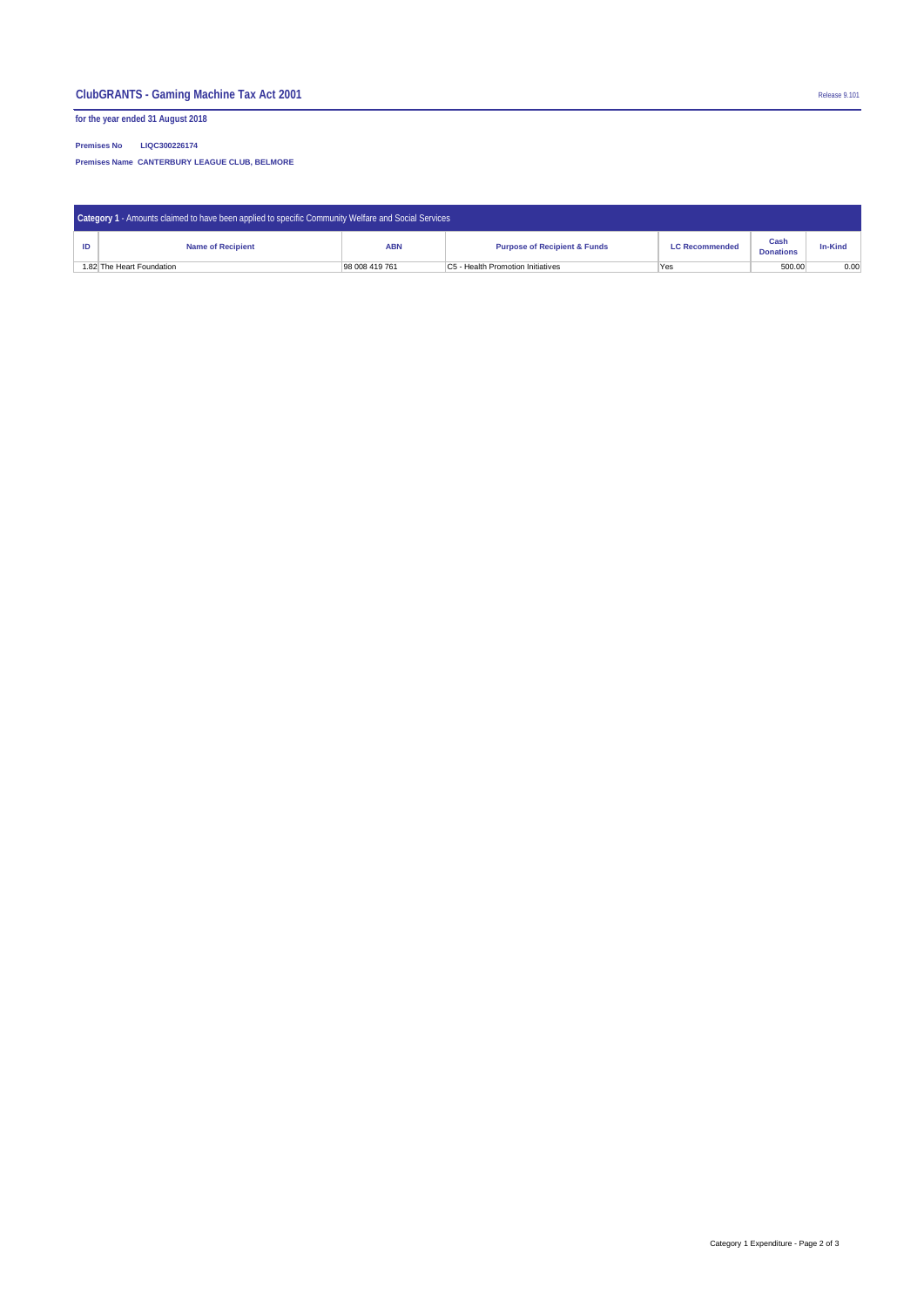# **ClubGRANTS - Gaming Machine Tax Act 2001** Release 9.101

**for the year ended 31 August 2018**

**Premises No LIQC300226174**

**Premises Name CANTERBURY LEAGUE CLUB, BELMORE**

| Category 1 - Amounts claimed to have been applied to specific Community Welfare and Social Services |                          |                |                                          |                       |                          |                |  |  |  |
|-----------------------------------------------------------------------------------------------------|--------------------------|----------------|------------------------------------------|-----------------------|--------------------------|----------------|--|--|--|
|                                                                                                     | <b>Name of Recipient</b> | <b>ABN</b>     | <b>Purpose of Recipient &amp; Funds</b>  | <b>LC Recommended</b> | Cash<br><b>Donations</b> | <b>In-Kind</b> |  |  |  |
| 1.82 The Heart Foundation                                                                           |                          | 98 008 419 761 | <b>C5 - Health Promotion Initiatives</b> | Yes                   | 500.00                   | 0.00           |  |  |  |

Category 1 Expenditure - Page 2 of 3